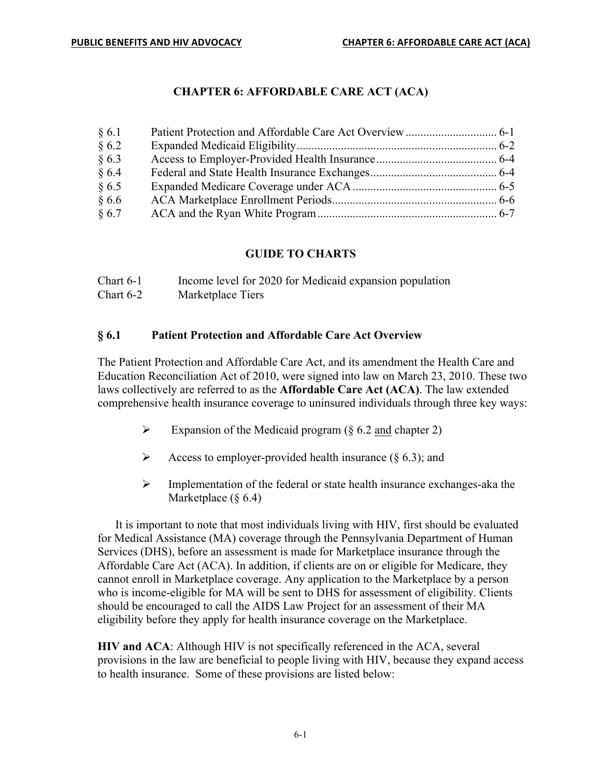## **CHAPTER 6: AFFORDABLE CARE ACT (ACA)**

| § 6.1 |  |
|-------|--|
| § 6.2 |  |
| § 6.3 |  |
| §6.4  |  |
| § 6.5 |  |
| §6.6  |  |
| § 6.7 |  |

#### **GUIDE TO CHARTS**

| Chart $6-1$ | Income level for 2020 for Medicaid expansion population |
|-------------|---------------------------------------------------------|
| Chart $6-2$ | Marketplace Tiers                                       |

#### **§ 6.1 Patient Protection and Affordable Care Act Overview**

The Patient Protection and Affordable Care Act, and its amendment the Health Care and Education Reconciliation Act of 2010, were signed into law on March 23, 2010. These two laws collectively are referred to as the **Affordable Care Act (ACA)**. The law extended comprehensive health insurance coverage to uninsured individuals through three key ways:

- $\triangleright$  Expansion of the Medicaid program (§ 6.2 and chapter 2)
- Access to employer-provided health insurance  $(\S 6.3)$ ; and
- $\triangleright$  Implementation of the federal or state health insurance exchanges-aka the Marketplace  $(\S 6.4)$

It is important to note that most individuals living with HIV, first should be evaluated for Medical Assistance (MA) coverage through the Pennsylvania Department of Human Services (DHS), before an assessment is made for Marketplace insurance through the Affordable Care Act (ACA). In addition, if clients are on or eligible for Medicare, they cannot enroll in Marketplace coverage. Any application to the Marketplace by a person who is income-eligible for MA will be sent to DHS for assessment of eligibility. Clients should be encouraged to call the AIDS Law Project for an assessment of their MA eligibility before they apply for health insurance coverage on the Marketplace.

**HIV and ACA**: Although HIV is not specifically referenced in the ACA, several provisions in the law are beneficial to people living with HIV, because they expand access to health insurance. Some of these provisions are listed below: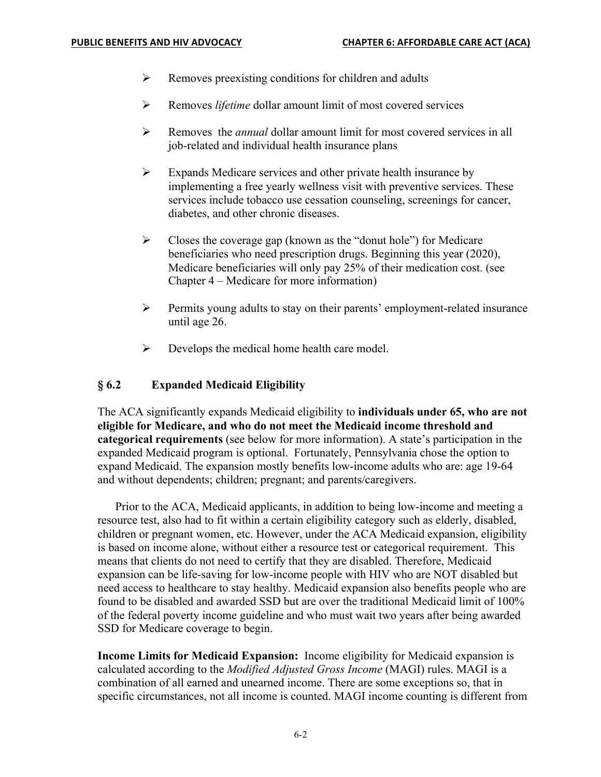- $\triangleright$  Removes preexisting conditions for children and adults
- Ø Removes *lifetime* dollar amount limit of most covered services
- Ø Removes the *annual* dollar amount limit for most covered services in all job-related and individual health insurance plans
- $\triangleright$  Expands Medicare services and other private health insurance by implementing a free yearly wellness visit with preventive services. These services include tobacco use cessation counseling, screenings for cancer, diabetes, and other chronic diseases.
- $\triangleright$  Closes the coverage gap (known as the "donut hole") for Medicare beneficiaries who need prescription drugs. Beginning this year (2020), Medicare beneficiaries will only pay 25% of their medication cost. (see Chapter 4 – Medicare for more information)
- Ø Permits young adults to stay on their parents' employment-related insurance until age 26.
- $\triangleright$  Develops the medical home health care model.

#### **§ 6.2 Expanded Medicaid Eligibility**

The ACA significantly expands Medicaid eligibility to **individuals under 65, who are not eligible for Medicare, and who do not meet the Medicaid income threshold and categorical requirements** (see below for more information). A state's participation in the expanded Medicaid program is optional. Fortunately, Pennsylvania chose the option to expand Medicaid. The expansion mostly benefits low-income adults who are: age 19-64 and without dependents; children; pregnant; and parents/caregivers.

Prior to the ACA, Medicaid applicants, in addition to being low-income and meeting a resource test, also had to fit within a certain eligibility category such as elderly, disabled, children or pregnant women, etc. However, under the ACA Medicaid expansion, eligibility is based on income alone, without either a resource test or categorical requirement. This means that clients do not need to certify that they are disabled. Therefore, Medicaid expansion can be life-saving for low-income people with HIV who are NOT disabled but need access to healthcare to stay healthy. Medicaid expansion also benefits people who are found to be disabled and awarded SSD but are over the traditional Medicaid limit of 100% of the federal poverty income guideline and who must wait two years after being awarded SSD for Medicare coverage to begin.

**Income Limits for Medicaid Expansion:** Income eligibility for Medicaid expansion is calculated according to the *Modified Adjusted Gross Income* (MAGI) rules. MAGI is a combination of all earned and unearned income. There are some exceptions so, that in specific circumstances, not all income is counted. MAGI income counting is different from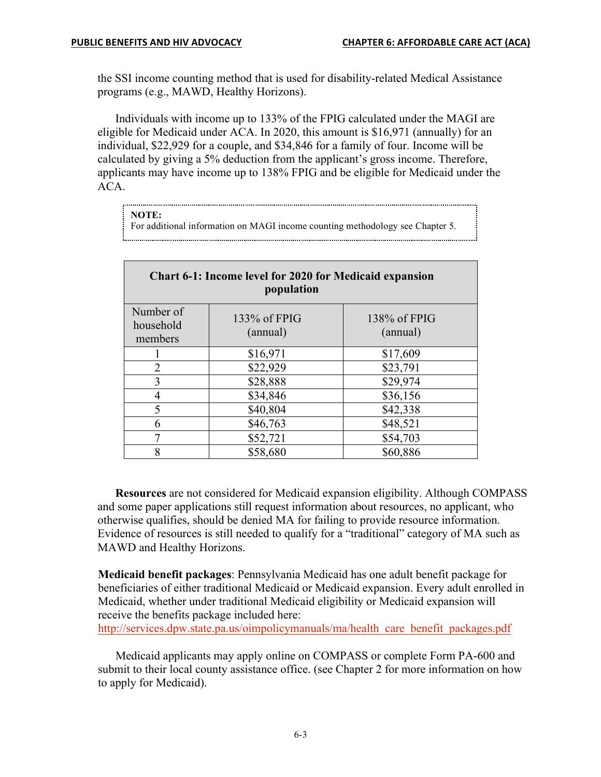the SSI income counting method that is used for disability-related Medical Assistance programs (e.g., MAWD, Healthy Horizons).

Individuals with income up to 133% of the FPIG calculated under the MAGI are eligible for Medicaid under ACA. In 2020, this amount is \$16,971 (annually) for an individual, \$22,929 for a couple, and \$34,846 for a family of four. Income will be calculated by giving a 5% deduction from the applicant's gross income. Therefore, applicants may have income up to 138% FPIG and be eligible for Medicaid under the ACA.

#### **NOTE:**

For additional information on MAGI income counting methodology see Chapter 5.

| <b>Chart 6-1: Income level for 2020 for Medicaid expansion</b><br>population |                          |                          |  |  |  |
|------------------------------------------------------------------------------|--------------------------|--------------------------|--|--|--|
| Number of<br>household<br>members                                            | 133% of FPIG<br>(annual) | 138% of FPIG<br>(annual) |  |  |  |
|                                                                              | \$16,971                 | \$17,609                 |  |  |  |
| $\overline{2}$                                                               | \$22,929                 | \$23,791                 |  |  |  |
| 3                                                                            | \$28,888                 | \$29,974                 |  |  |  |
| 4                                                                            | \$34,846                 | \$36,156                 |  |  |  |
| 5                                                                            | \$40,804                 | \$42,338                 |  |  |  |
| 6                                                                            | \$46,763                 | \$48,521                 |  |  |  |
| 7                                                                            | \$52,721                 | \$54,703                 |  |  |  |
| 8                                                                            | \$58,680                 | \$60,886                 |  |  |  |

**Resources** are not considered for Medicaid expansion eligibility. Although COMPASS and some paper applications still request information about resources, no applicant, who otherwise qualifies, should be denied MA for failing to provide resource information. Evidence of resources is still needed to qualify for a "traditional" category of MA such as MAWD and Healthy Horizons.

**Medicaid benefit packages**: Pennsylvania Medicaid has one adult benefit package for beneficiaries of either traditional Medicaid or Medicaid expansion. Every adult enrolled in Medicaid, whether under traditional Medicaid eligibility or Medicaid expansion will receive the benefits package included here:

http://services.dpw.state.pa.us/oimpolicymanuals/ma/health\_care\_benefit\_packages.pdf

Medicaid applicants may apply online on COMPASS or complete Form PA-600 and submit to their local county assistance office. (see Chapter 2 for more information on how to apply for Medicaid).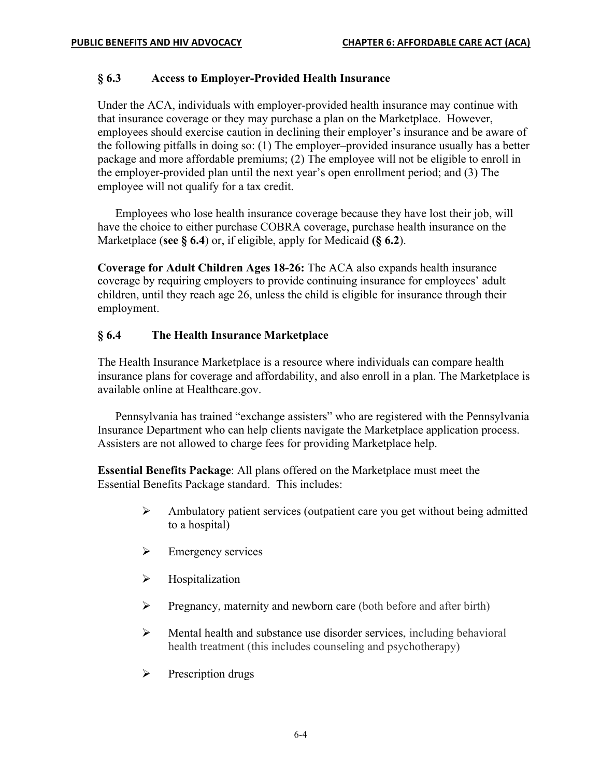#### **§ 6.3 Access to Employer-Provided Health Insurance**

Under the ACA, individuals with employer-provided health insurance may continue with that insurance coverage or they may purchase a plan on the Marketplace. However, employees should exercise caution in declining their employer's insurance and be aware of the following pitfalls in doing so: (1) The employer–provided insurance usually has a better package and more affordable premiums; (2) The employee will not be eligible to enroll in the employer-provided plan until the next year's open enrollment period; and (3) The employee will not qualify for a tax credit.

Employees who lose health insurance coverage because they have lost their job, will have the choice to either purchase COBRA coverage, purchase health insurance on the Marketplace (**see § 6.4**) or, if eligible, apply for Medicaid **(§ 6.2**).

**Coverage for Adult Children Ages 18-26:** The ACA also expands health insurance coverage by requiring employers to provide continuing insurance for employees' adult children, until they reach age 26, unless the child is eligible for insurance through their employment.

## **§ 6.4 The Health Insurance Marketplace**

The Health Insurance Marketplace is a resource where individuals can compare health insurance plans for coverage and affordability, and also enroll in a plan. The Marketplace is available online at Healthcare.gov.

Pennsylvania has trained "exchange assisters" who are registered with the Pennsylvania Insurance Department who can help clients navigate the Marketplace application process. Assisters are not allowed to charge fees for providing Marketplace help.

**Essential Benefits Package**: All plans offered on the Marketplace must meet the Essential Benefits Package standard. This includes:

- $\triangleright$  Ambulatory patient services (outpatient care you get without being admitted to a hospital)
- $\triangleright$  Emergency services
- $\triangleright$  Hospitalization
- $\triangleright$  Pregnancy, maternity and newborn care (both before and after birth)
- $\triangleright$  Mental health and substance use disorder services, including behavioral health treatment (this includes counseling and psychotherapy)
- $\triangleright$  Prescription drugs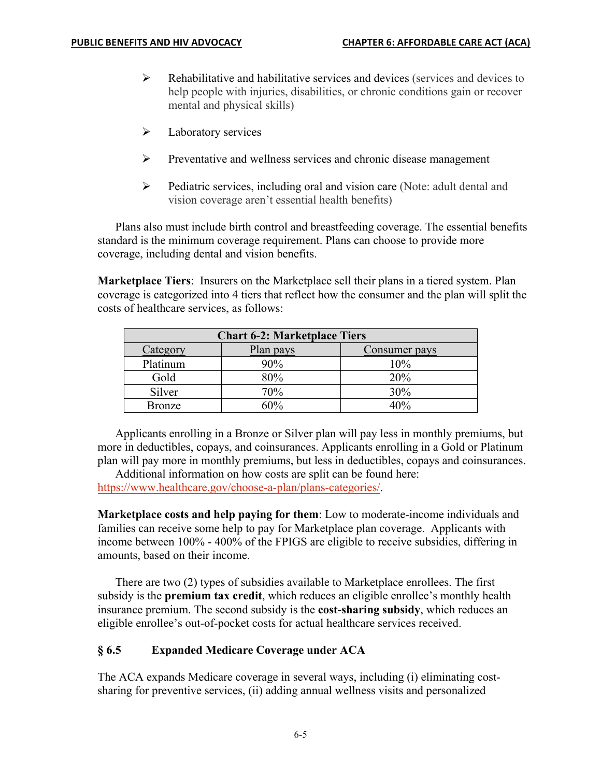- $\triangleright$  Rehabilitative and habilitative services and devices (services and devices to help people with injuries, disabilities, or chronic conditions gain or recover mental and physical skills)
- $\blacktriangleright$  Laboratory services
- $\triangleright$  Preventative and wellness services and chronic disease management
- $\triangleright$  Pediatric services, including oral and vision care (Note: adult dental and vision coverage aren't essential health benefits)

Plans also must include birth control and breastfeeding coverage. The essential benefits standard is the minimum coverage requirement. Plans can choose to provide more coverage, including dental and vision benefits.

**Marketplace Tiers**: Insurers on the Marketplace sell their plans in a tiered system. Plan coverage is categorized into 4 tiers that reflect how the consumer and the plan will split the costs of healthcare services, as follows:

| <b>Chart 6-2: Marketplace Tiers</b> |           |               |  |  |  |
|-------------------------------------|-----------|---------------|--|--|--|
| Category                            | Plan pays | Consumer pays |  |  |  |
| Platinum                            | 90%       | 10%           |  |  |  |
| Gold                                | 80%       | 20%           |  |  |  |
| Silver                              | 70%       | 30%           |  |  |  |
| <b>Bronze</b>                       | 60%       | 10%           |  |  |  |

Applicants enrolling in a Bronze or Silver plan will pay less in monthly premiums, but more in deductibles, copays, and coinsurances. Applicants enrolling in a Gold or Platinum plan will pay more in monthly premiums, but less in deductibles, copays and coinsurances.

Additional information on how costs are split can be found here: https://www.healthcare.gov/choose-a-plan/plans-categories/.

**Marketplace costs and help paying for them**: Low to moderate-income individuals and families can receive some help to pay for Marketplace plan coverage. Applicants with income between 100% - 400% of the FPIGS are eligible to receive subsidies, differing in amounts, based on their income.

There are two (2) types of subsidies available to Marketplace enrollees. The first subsidy is the **premium tax credit**, which reduces an eligible enrollee's monthly health insurance premium. The second subsidy is the **cost-sharing subsidy**, which reduces an eligible enrollee's out-of-pocket costs for actual healthcare services received.

#### **§ 6.5 Expanded Medicare Coverage under ACA**

The ACA expands Medicare coverage in several ways, including (i) eliminating costsharing for preventive services, (ii) adding annual wellness visits and personalized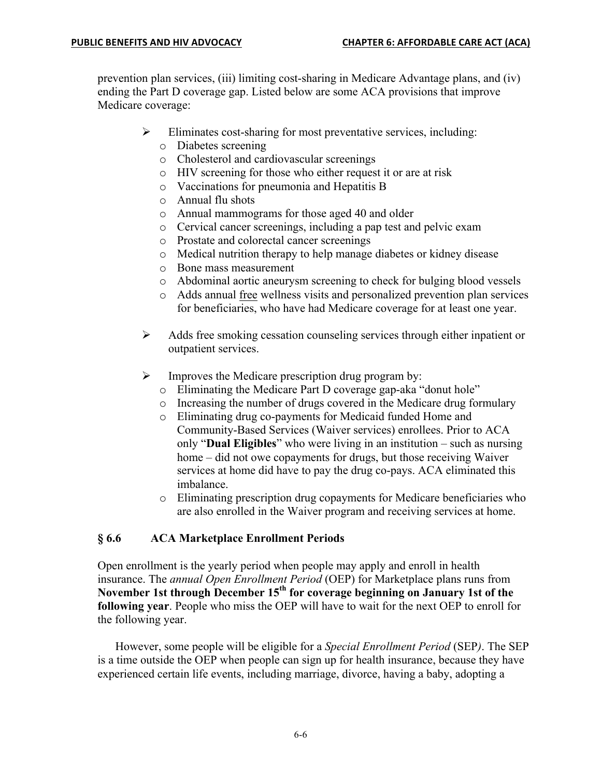prevention plan services, (iii) limiting cost-sharing in Medicare Advantage plans, and (iv) ending the Part D coverage gap. Listed below are some ACA provisions that improve Medicare coverage:

- $\triangleright$  Eliminates cost-sharing for most preventative services, including:
	- o Diabetes screening
	- o Cholesterol and cardiovascular screenings
	- o HIV screening for those who either request it or are at risk
	- o Vaccinations for pneumonia and Hepatitis B
	- o Annual flu shots
	- o Annual mammograms for those aged 40 and older
	- o Cervical cancer screenings, including a pap test and pelvic exam
	- o Prostate and colorectal cancer screenings
	- o Medical nutrition therapy to help manage diabetes or kidney disease
	- o Bone mass measurement
	- o Abdominal aortic aneurysm screening to check for bulging blood vessels
	- o Adds annual free wellness visits and personalized prevention plan services for beneficiaries, who have had Medicare coverage for at least one year.
- $\triangleright$  Adds free smoking cessation counseling services through either inpatient or outpatient services.
- $\triangleright$  Improves the Medicare prescription drug program by:
	- o Eliminating the Medicare Part D coverage gap-aka "donut hole"
	- o Increasing the number of drugs covered in the Medicare drug formulary
	- o Eliminating drug co-payments for Medicaid funded Home and Community-Based Services (Waiver services) enrollees. Prior to ACA only "**Dual Eligibles**" who were living in an institution – such as nursing home – did not owe copayments for drugs, but those receiving Waiver services at home did have to pay the drug co-pays. ACA eliminated this imbalance.
	- o Eliminating prescription drug copayments for Medicare beneficiaries who are also enrolled in the Waiver program and receiving services at home.

## **§ 6.6 ACA Marketplace Enrollment Periods**

Open enrollment is the yearly period when people may apply and enroll in health insurance. The *annual Open Enrollment Period* (OEP) for Marketplace plans runs from **November 1st through December 15th for coverage beginning on January 1st of the following year**. People who miss the OEP will have to wait for the next OEP to enroll for the following year.

However, some people will be eligible for a *Special Enrollment Period* (SEP*)*. The SEP is a time outside the OEP when people can sign up for health insurance, because they have experienced certain life events, including marriage, divorce, having a baby, adopting a